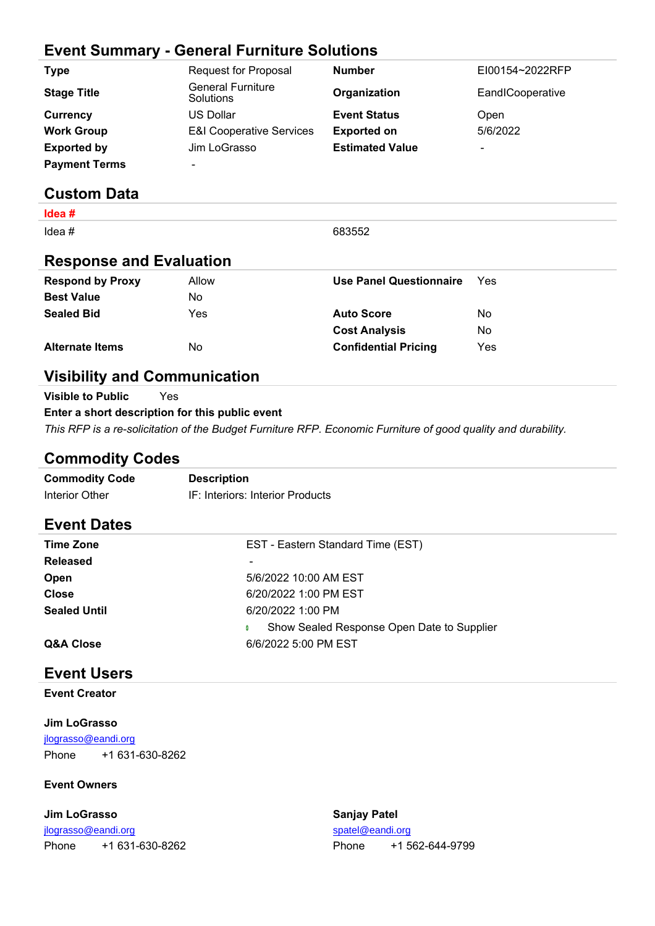## **Event Summary - General Furniture Solutions**

| <b>Type</b>          | <b>Request for Proposal</b>           | <b>Number</b>          | EI00154~2022RFP          |
|----------------------|---------------------------------------|------------------------|--------------------------|
| <b>Stage Title</b>   | <b>General Furniture</b><br>Solutions | Organization           | EandICooperative         |
| Currency             | <b>US Dollar</b>                      | <b>Event Status</b>    | Open                     |
| <b>Work Group</b>    | <b>E&amp;I Cooperative Services</b>   | <b>Exported on</b>     | 5/6/2022                 |
| <b>Exported by</b>   | Jim LoGrasso                          | <b>Estimated Value</b> | $\overline{\phantom{a}}$ |
| <b>Payment Terms</b> | $\overline{\phantom{0}}$              |                        |                          |

## **Custom Data**

| $l$ dea #                      |       |                                |     |
|--------------------------------|-------|--------------------------------|-----|
| Idea $#$                       |       | 683552                         |     |
| <b>Response and Evaluation</b> |       |                                |     |
| <b>Respond by Proxy</b>        | Allow | <b>Use Panel Questionnaire</b> | Yes |
| <b>Best Value</b>              | No.   |                                |     |
| <b>Sealed Bid</b>              | Yes   | <b>Auto Score</b>              | No. |
|                                |       | <b>Cost Analysis</b>           | No. |
| <b>Alternate Items</b>         | No.   | <b>Confidential Pricing</b>    | Yes |

## **Visibility and Communication**

**Visible to Public** Yes **Enter a short description for this public event** *This RFP is a re-solicitation of the Budget Furniture RFP. Economic Furniture of good quality and durability.*

## **Commodity Codes**

| <b>Commodity Code</b> | <b>Description</b>               |
|-----------------------|----------------------------------|
| Interior Other        | IF: Interiors: Interior Products |

## **Event Dates**

| <b>Time Zone</b>    | EST - Eastern Standard Time (EST)          |
|---------------------|--------------------------------------------|
| <b>Released</b>     |                                            |
| Open                | 5/6/2022 10:00 AM EST                      |
| <b>Close</b>        | 6/20/2022 1:00 PM EST                      |
| <b>Sealed Until</b> | 6/20/2022 1:00 PM                          |
|                     | Show Sealed Response Open Date to Supplier |
| Q&A Close           | 6/6/2022 5:00 PM EST                       |

## **Event Users**

**Event Creator**

#### **Jim LoGrasso**

[jlograsso@eandi.org](mailto:jlograsso@eandi.org) Phone +1 631-630-8262

#### **Event Owners**

| Jim LoGrasso        |                 | <b>Sanjay Patel</b> |                 |
|---------------------|-----------------|---------------------|-----------------|
| jlograsso@eandi.org |                 | spatel@eandi.org    |                 |
| Phone               | +1 631-630-8262 | <b>Phone</b>        | +1 562-644-9799 |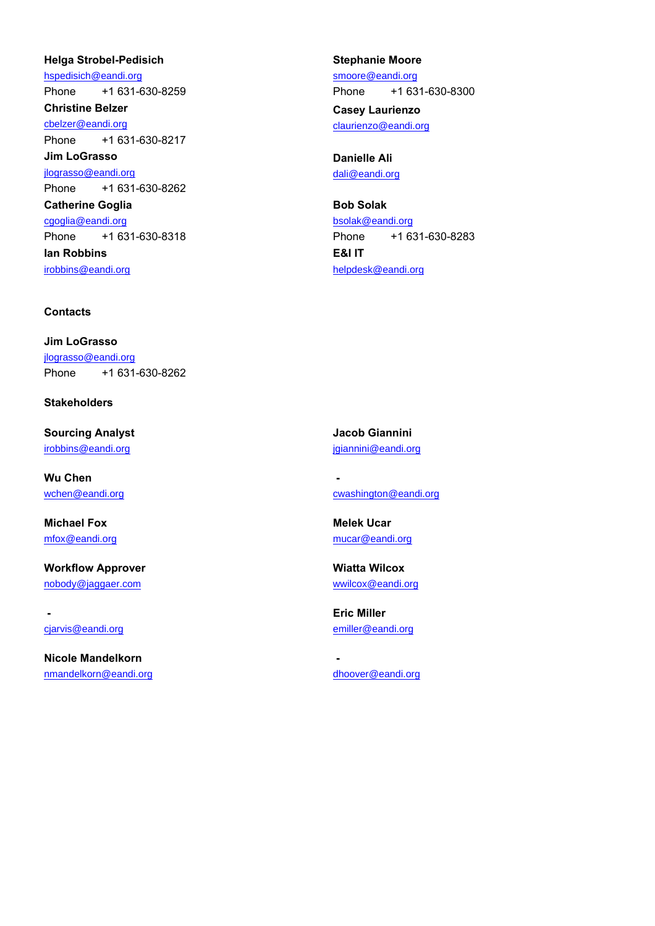#### **Helga Strobel-Pedisich**

[hspedisich@eandi.org](mailto:hspedisich@eandi.org) Phone +1 631-630-8259 **Christine Belzer** [cbelzer@eandi.org](mailto:cbelzer@eandi.org) Phone +1 631-630-8217 **Jim LoGrasso**

[jlograsso@eandi.org](mailto:jlograsso@eandi.org) Phone +1 631-630-8262

**Catherine Goglia** [cgoglia@eandi.org](mailto:cgoglia@eandi.org) Phone +1 631-630-8318 **Ian Robbins** [irobbins@eandi.org](mailto:irobbins@eandi.org)

#### **Contacts**

**Jim LoGrasso** [jlograsso@eandi.org](mailto:jlograsso@eandi.org) Phone +1 631-630-8262

#### **Stakeholders**

**Sourcing Analyst** [irobbins@eandi.org](mailto:irobbins@eandi.org)

**Wu Chen** [wchen@eandi.org](mailto:wchen@eandi.org)

**Michael Fox** [mfox@eandi.org](mailto:mfox@eandi.org)

**Workflow Approver** [nobody@jaggaer.com](mailto:nobody@jaggaer.com)

 [cjarvis@eandi.org](mailto:cjarvis@eandi.org)

**Nicole Mandelkorn** [nmandelkorn@eandi.org](mailto:nmandelkorn@eandi.org)

#### **Stephanie Moore**

[smoore@eandi.org](mailto:smoore@eandi.org) Phone +1 631-630-8300 **Casey Laurienzo**

[claurienzo@eandi.org](mailto:claurienzo@eandi.org)

**Danielle Ali** [dali@eandi.org](mailto:dali@eandi.org)

**Bob Solak** [bsolak@eandi.org](mailto:bsolak@eandi.org) Phone +1 631-630-8283 **E&I IT** [helpdesk@eandi.org](mailto:helpdesk@eandi.org)

**Jacob Giannini** [jgiannini@eandi.org](mailto:jgiannini@eandi.org)

 [cwashington@eandi.org](mailto:cwashington@eandi.org)

**Melek Ucar** [mucar@eandi.org](mailto:mucar@eandi.org)

**Wiatta Wilcox** [wwilcox@eandi.org](mailto:wwilcox@eandi.org)

**Eric Miller** [emiller@eandi.org](mailto:emiller@eandi.org)

[dhoover@eandi.org](mailto:dhoover@eandi.org)

 **-**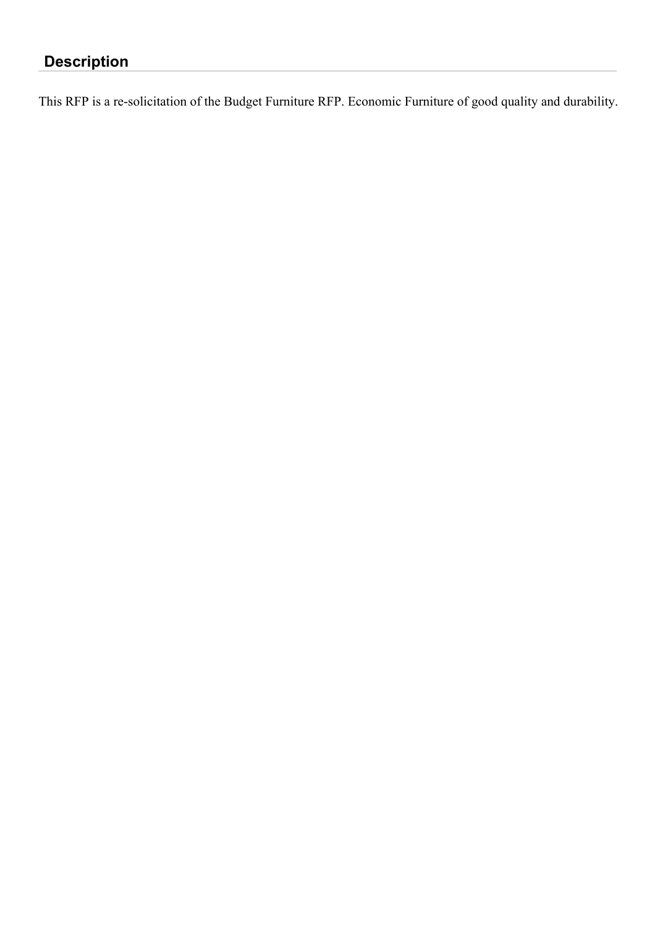# **Description**

This RFP is a re-solicitation of the Budget Furniture RFP. Economic Furniture of good quality and durability.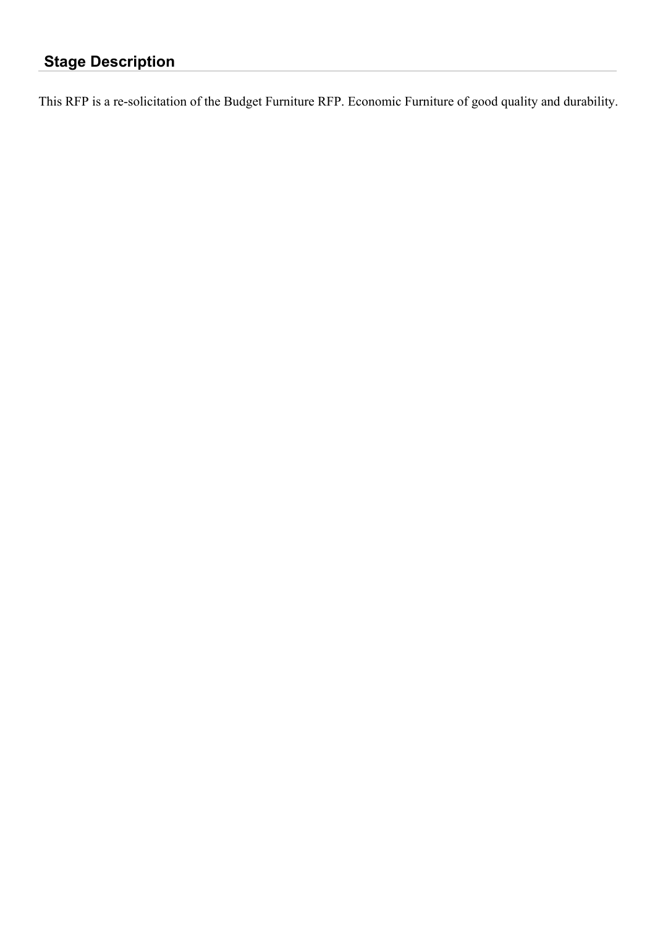## **Stage Description**

This RFP is a re-solicitation of the Budget Furniture RFP. Economic Furniture of good quality and durability.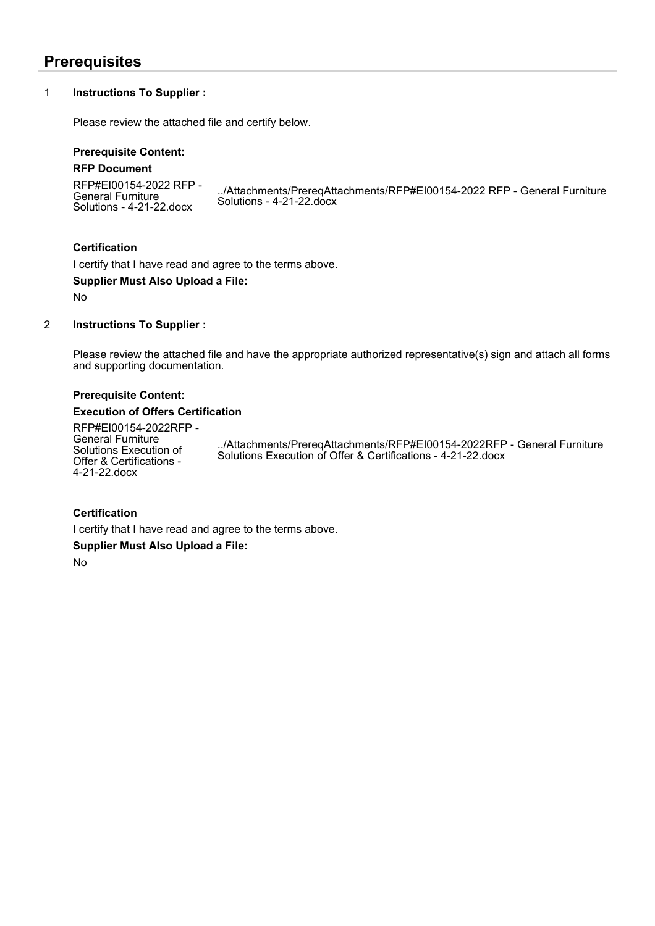## **Prerequisites**

#### 1 **Instructions To Supplier :**

Please review the attached file and certify below.

#### **Prerequisite Content:**

#### **RFP Document**

RFP#EI00154-2022 RFP - General Furniture Solutions - 4-21-22.docx ../Attachments/PrereqAttachments/RFP#EI00154-2022 RFP - General Furniture Solutions - 4-21-22.docx

#### **Certification**

I certify that I have read and agree to the terms above.

#### **Supplier Must Also Upload a File:**

No

#### 2 **Instructions To Supplier :**

Please review the attached file and have the appropriate authorized representative(s) sign and attach all forms and supporting documentation.

#### **Prerequisite Content:**

#### **Execution of Offers Certification**

RFP#EI00154-2022RFP - General Furniture Solutions Execution of Offer & Certifications - 4-21-22.docx

../Attachments/PrereqAttachments/RFP#EI00154-2022RFP - General Furniture Solutions Execution of Offer & Certifications - 4-21-22.docx

#### **Certification**

I certify that I have read and agree to the terms above.

**Supplier Must Also Upload a File:**

No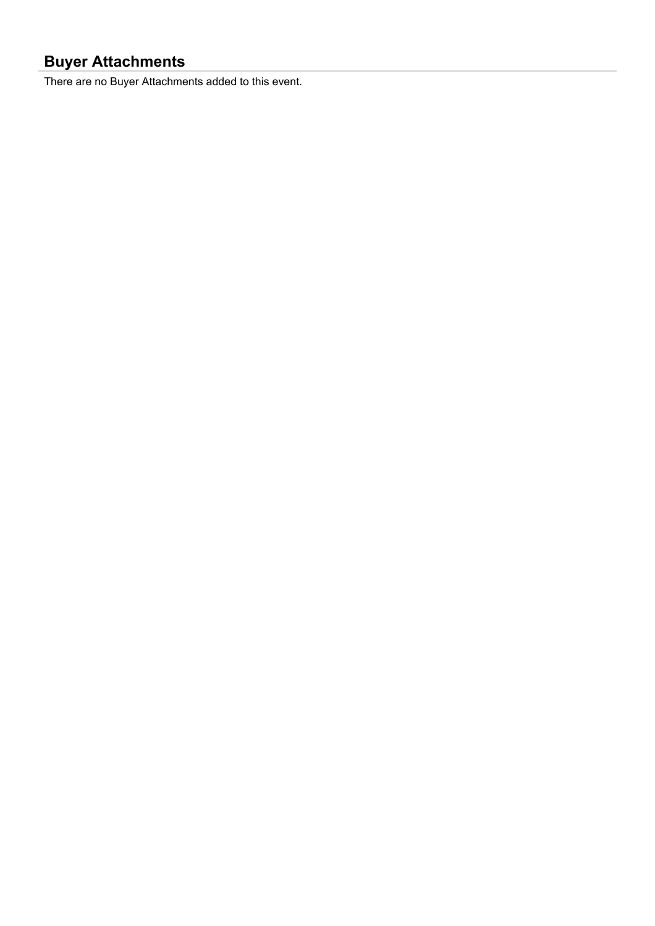## **Buyer Attachments**

There are no Buyer Attachments added to this event.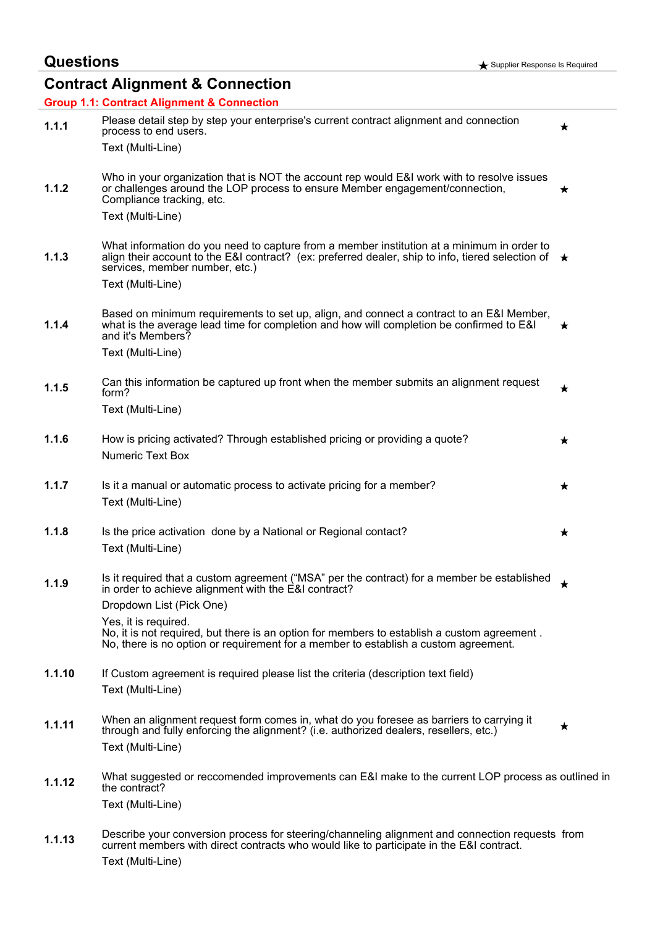# **Contract Alignment & Connection**

|        | <b>Group 1.1: Contract Alignment &amp; Connection</b>                                                                                                                                                                        |         |
|--------|------------------------------------------------------------------------------------------------------------------------------------------------------------------------------------------------------------------------------|---------|
| 1.1.1  | Please detail step by step your enterprise's current contract alignment and connection<br>process to end users.                                                                                                              | ★       |
|        | Text (Multi-Line)                                                                                                                                                                                                            |         |
| 1.1.2  | Who in your organization that is NOT the account rep would E&I work with to resolve issues<br>or challenges around the LOP process to ensure Member engagement/connection,<br>Compliance tracking, etc.<br>Text (Multi-Line) | ★       |
| 1.1.3  | What information do you need to capture from a member institution at a minimum in order to<br>align their account to the E&I contract? (ex: preferred dealer, ship to info, tiered selection of $\star$                      |         |
|        | services, member number, etc.)<br>Text (Multi-Line)                                                                                                                                                                          |         |
| 1.1.4  | Based on minimum requirements to set up, align, and connect a contract to an E&I Member,<br>what is the average lead time for completion and how will completion be confirmed to E&I<br>and it's Members?                    | ★.      |
|        | Text (Multi-Line)                                                                                                                                                                                                            |         |
| 1.1.5  | Can this information be captured up front when the member submits an alignment request<br>form?                                                                                                                              | $\star$ |
|        | Text (Multi-Line)                                                                                                                                                                                                            |         |
| 1.1.6  | How is pricing activated? Through established pricing or providing a quote?<br><b>Numeric Text Box</b>                                                                                                                       | ★       |
| 1.1.7  | Is it a manual or automatic process to activate pricing for a member?                                                                                                                                                        | ★       |
|        | Text (Multi-Line)                                                                                                                                                                                                            |         |
| 1.1.8  | Is the price activation done by a National or Regional contact?                                                                                                                                                              | ★       |
|        | Text (Multi-Line)                                                                                                                                                                                                            |         |
| 1.1.9  | Is it required that a custom agreement ("MSA" per the contract) for a member be established<br>in order to achieve alignment with the E&I contract?                                                                          | ★       |
|        | Dropdown List (Pick One)                                                                                                                                                                                                     |         |
|        | Yes, it is required.<br>No, it is not required, but there is an option for members to establish a custom agreement.<br>No, there is no option or requirement for a member to establish a custom agreement.                   |         |
| 1.1.10 | If Custom agreement is required please list the criteria (description text field)                                                                                                                                            |         |
|        | Text (Multi-Line)                                                                                                                                                                                                            |         |
| 1.1.11 | When an alignment request form comes in, what do you foresee as barriers to carrying it<br>through and fully enforcing the alignment? (i.e. authorized dealers, resellers, etc.)                                             | ★       |
|        | Text (Multi-Line)                                                                                                                                                                                                            |         |
|        |                                                                                                                                                                                                                              |         |
| 1.1.12 | What suggested or reccomended improvements can E&I make to the current LOP process as outlined in<br>the contract?                                                                                                           |         |
|        | Text (Multi-Line)                                                                                                                                                                                                            |         |
| 1.1.13 | Describe your conversion process for steering/channeling alignment and connection requests from<br>current members with direct contracts who would like to participate in the E&I contract.<br>Text (Multi-Line)             |         |
|        |                                                                                                                                                                                                                              |         |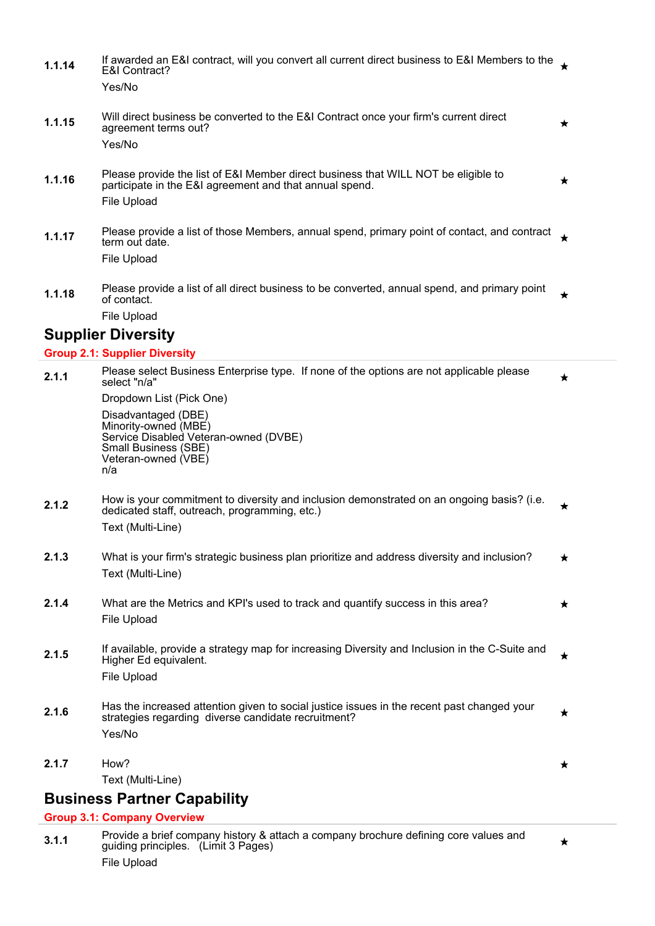1.1.14 If awarded an E&I contract, will you convert all current direct business to E&I Members to the  $\star$ E&I Contract? Yes/No **1.1.15** Will direct business be converted to the E&I Contract once your firm's current direct ★ agreement terms out? Yes/No **1.1.16** Please provide the list of E&I Member direct business that WILL NOT be eligible to  $\bigstar$ participate in the E&I agreement and that annual spend. File Upload **1.1.17** Please provide a list of those Members, annual spend, primary point of contact, and contract term out date. File Upload **1.1.18** Please provide a list of all direct business to be converted, annual spend, and primary point  $\star$ of contact. File Upload **Supplier Diversity**

#### **Group 2.1: Supplier Diversity**

|       | $\mathbf{C}$ oup 2.1. Supplier Diversity                                                                                                                        |         |
|-------|-----------------------------------------------------------------------------------------------------------------------------------------------------------------|---------|
| 2.1.1 | Please select Business Enterprise type. If none of the options are not applicable please<br>select "n/a"                                                        | *       |
|       | Dropdown List (Pick One)                                                                                                                                        |         |
|       | Disadvantaged (DBE)<br>Minority-owned (MBE)<br>Service Disabled Veteran-owned (DVBE)<br>Small Business (SBE)<br>Veteran-owned (VBE)<br>n/a                      |         |
| 2.1.2 | How is your commitment to diversity and inclusion demonstrated on an ongoing basis? (i.e.<br>dedicated staff, outreach, programming, etc.)<br>Text (Multi-Line) | ★       |
| 2.1.3 | What is your firm's strategic business plan prioritize and address diversity and inclusion?<br>Text (Multi-Line)                                                | $\star$ |
| 2.1.4 | What are the Metrics and KPI's used to track and quantify success in this area?<br>File Upload                                                                  | ★       |
| 2.1.5 | If available, provide a strategy map for increasing Diversity and Inclusion in the C-Suite and<br>Higher Ed equivalent.<br>File Upload                          | $\star$ |
| 2.1.6 | Has the increased attention given to social justice issues in the recent past changed your<br>strategies regarding diverse candidate recruitment?<br>Yes/No     | ★       |
| 2.1.7 | How?                                                                                                                                                            | $\star$ |
|       | Text (Multi-Line)                                                                                                                                               |         |
|       | <b>Business Partner Capability</b>                                                                                                                              |         |
|       | <b>Group 3.1: Company Overview</b>                                                                                                                              |         |

**3.1.1** Provide a brief company history & attach a company brochure defining core values and guiding principles. (Limit 3 Pages) File Upload

 $\star$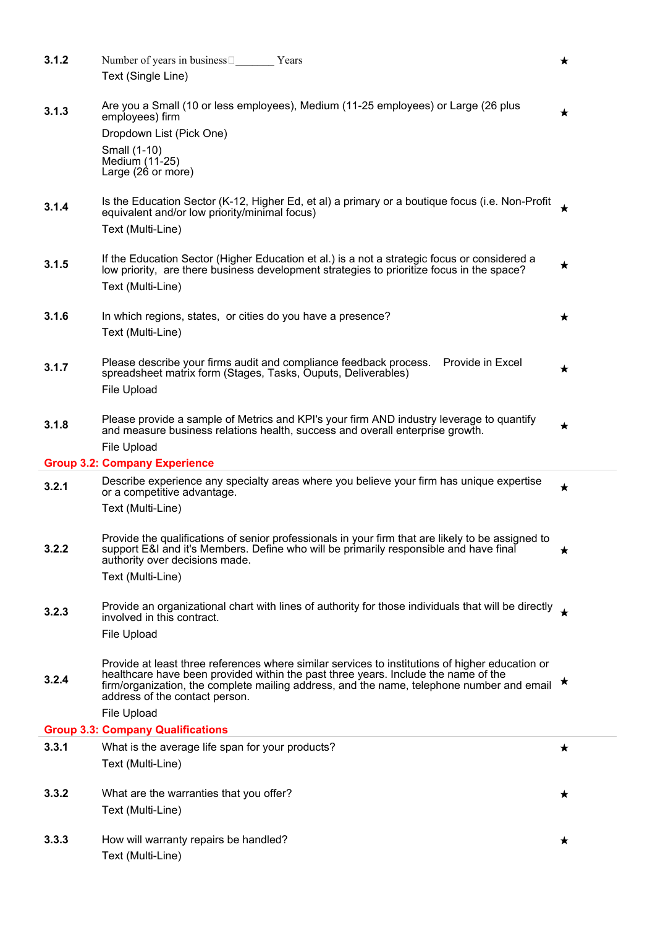| 3.1.2 | Number of years in business $\square$<br>Years                                                                                                                                                                                                                                       | ★       |
|-------|--------------------------------------------------------------------------------------------------------------------------------------------------------------------------------------------------------------------------------------------------------------------------------------|---------|
|       | Text (Single Line)                                                                                                                                                                                                                                                                   |         |
| 3.1.3 | Are you a Small (10 or less employees), Medium (11-25 employees) or Large (26 plus                                                                                                                                                                                                   | ★       |
|       | employees) firm                                                                                                                                                                                                                                                                      |         |
|       | Dropdown List (Pick One)                                                                                                                                                                                                                                                             |         |
|       | Small (1-10)<br>Medium (11-25)                                                                                                                                                                                                                                                       |         |
|       | Large (26 or more)                                                                                                                                                                                                                                                                   |         |
| 3.1.4 | Is the Education Sector (K-12, Higher Ed, et al) a primary or a boutique focus (i.e. Non-Profit<br>equivalent and/or low priority/minimal focus)<br>Text (Multi-Line)                                                                                                                |         |
|       |                                                                                                                                                                                                                                                                                      |         |
| 3.1.5 | If the Education Sector (Higher Education et al.) is a not a strategic focus or considered a                                                                                                                                                                                         | $\star$ |
|       | low priority, are there business development strategies to prioritize focus in the space?                                                                                                                                                                                            |         |
|       | Text (Multi-Line)                                                                                                                                                                                                                                                                    |         |
| 3.1.6 | In which regions, states, or cities do you have a presence?                                                                                                                                                                                                                          | ★       |
|       | Text (Multi-Line)                                                                                                                                                                                                                                                                    |         |
|       |                                                                                                                                                                                                                                                                                      |         |
| 3.1.7 | Please describe your firms audit and compliance feedback process.<br>Provide in Excel                                                                                                                                                                                                | ★       |
|       | spreadsheet matrix form (Stages, Tasks, Ouputs, Deliverables)                                                                                                                                                                                                                        |         |
|       | File Upload                                                                                                                                                                                                                                                                          |         |
| 3.1.8 | Please provide a sample of Metrics and KPI's your firm AND industry leverage to quantify<br>and measure business relations health, success and overall enterprise growth.                                                                                                            | ★       |
|       | <b>File Upload</b>                                                                                                                                                                                                                                                                   |         |
|       | <b>Group 3.2: Company Experience</b>                                                                                                                                                                                                                                                 |         |
|       |                                                                                                                                                                                                                                                                                      |         |
| 3.2.1 | Describe experience any specialty areas where you believe your firm has unique expertise<br>or a competitive advantage.                                                                                                                                                              | ★       |
|       | Text (Multi-Line)                                                                                                                                                                                                                                                                    |         |
|       |                                                                                                                                                                                                                                                                                      |         |
| 3.2.2 | Provide the qualifications of senior professionals in your firm that are likely to be assigned to<br>support E&I and it's Members. Define who will be primarily responsible and have final<br>authority over decisions made.                                                         | ★       |
|       | Text (Multi-Line)                                                                                                                                                                                                                                                                    |         |
|       |                                                                                                                                                                                                                                                                                      |         |
| 3.2.3 | Provide an organizational chart with lines of authority for those individuals that will be directly<br>involved in this contract.                                                                                                                                                    |         |
|       | <b>File Upload</b>                                                                                                                                                                                                                                                                   |         |
|       |                                                                                                                                                                                                                                                                                      |         |
| 3.2.4 | Provide at least three references where similar services to institutions of higher education or<br>healthcare have been provided within the past three years. Include the name of the<br>firm/organization, the complete mailing address, and the name, telephone number and email * |         |
|       | address of the contact person.                                                                                                                                                                                                                                                       |         |
|       | <b>File Upload</b>                                                                                                                                                                                                                                                                   |         |
|       | <b>Group 3.3: Company Qualifications</b>                                                                                                                                                                                                                                             |         |
| 3.3.1 | What is the average life span for your products?                                                                                                                                                                                                                                     | ★       |
|       | Text (Multi-Line)                                                                                                                                                                                                                                                                    |         |
| 3.3.2 | What are the warranties that you offer?                                                                                                                                                                                                                                              | ★       |
|       | Text (Multi-Line)                                                                                                                                                                                                                                                                    |         |
|       |                                                                                                                                                                                                                                                                                      |         |
| 3.3.3 | How will warranty repairs be handled?                                                                                                                                                                                                                                                | ★       |
|       | Text (Multi-Line)                                                                                                                                                                                                                                                                    |         |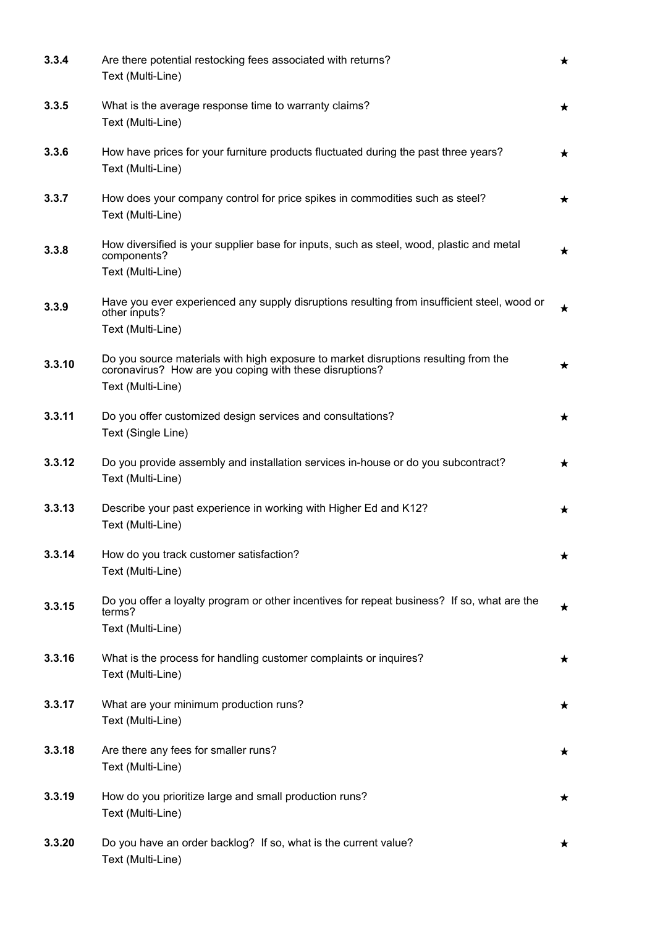| 3.3.4  | Are there potential restocking fees associated with returns?<br>Text (Multi-Line)                                                                                   | $\star$ |
|--------|---------------------------------------------------------------------------------------------------------------------------------------------------------------------|---------|
| 3.3.5  | What is the average response time to warranty claims?<br>Text (Multi-Line)                                                                                          | $\star$ |
| 3.3.6  | How have prices for your furniture products fluctuated during the past three years?<br>Text (Multi-Line)                                                            | $\star$ |
| 3.3.7  | How does your company control for price spikes in commodities such as steel?<br>Text (Multi-Line)                                                                   | ★       |
| 3.3.8  | How diversified is your supplier base for inputs, such as steel, wood, plastic and metal<br>components?<br>Text (Multi-Line)                                        | $\star$ |
| 3.3.9  | Have you ever experienced any supply disruptions resulting from insufficient steel, wood or<br>other inputs?<br>Text (Multi-Line)                                   | ★       |
| 3.3.10 | Do you source materials with high exposure to market disruptions resulting from the<br>coronavirus? How are you coping with these disruptions?<br>Text (Multi-Line) | ★       |
| 3.3.11 | Do you offer customized design services and consultations?<br>Text (Single Line)                                                                                    | ★       |
| 3.3.12 | Do you provide assembly and installation services in-house or do you subcontract?<br>Text (Multi-Line)                                                              | ★       |
| 3.3.13 | Describe your past experience in working with Higher Ed and K12?<br>Text (Multi-Line)                                                                               | ★       |
| 3.3.14 | How do you track customer satisfaction?<br>Text (Multi-Line)                                                                                                        | ★       |
| 3.3.15 | Do you offer a loyalty program or other incentives for repeat business? If so, what are the<br>terms?<br>Text (Multi-Line)                                          | ★       |
| 3.3.16 | What is the process for handling customer complaints or inquires?<br>Text (Multi-Line)                                                                              | ★       |
| 3.3.17 | What are your minimum production runs?<br>Text (Multi-Line)                                                                                                         | $\star$ |
| 3.3.18 | Are there any fees for smaller runs?<br>Text (Multi-Line)                                                                                                           | ★       |
| 3.3.19 | How do you prioritize large and small production runs?<br>Text (Multi-Line)                                                                                         | $\star$ |
| 3.3.20 | Do you have an order backlog? If so, what is the current value?<br>Text (Multi-Line)                                                                                | ★       |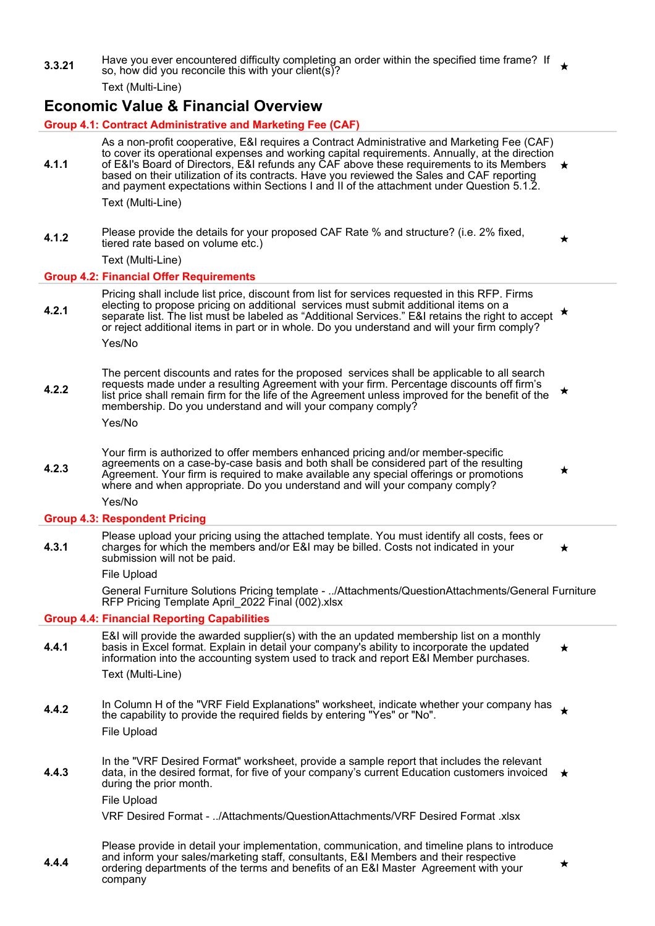**3.3.21** Have you ever encountered difficulty completing an order within the specified time frame? If so, how did you reconcile this with your client(s)?

Text (Multi-Line)

### **Economic Value & Financial Overview**

#### **Group 4.1: Contract Administrative and Marketing Fee (CAF)**

- **4.1.1** As a non-profit cooperative, E&I requires a Contract Administrative and Marketing Fee (CAF) to cover its operational expenses and working capital requirements. Annually, at the direction of E&I's Board of Directors, E&I refunds any CAF above these requirements to its Members based on their utilization of its contracts. Have you reviewed the Sales and CAF reporting and payment expectations within Sections I and II of the attachment under Question 5.1.2. Text (Multi-Line)
- **4.1.2** Please provide the details for your proposed CAF Rate % and structure? (i.e. 2% fixed, tiered rate based on volume etc.)

Text (Multi-Line)

#### **Group 4.2: Financial Offer Requirements**

**4.2.1** Pricing shall include list price, discount from list for services requested in this RFP. Firms electing to propose pricing on additional services must submit additional items on a separate list. The list must be labeled as "Additional Services." E&I retains the right to accept or reject additional items in part or in whole. Do you understand and will your firm comply?

Yes/No

**4.2.2** The percent discounts and rates for the proposed services shall be applicable to all search requests made under a resulting Agreement with your firm. Percentage discounts off firm's list price shall remain firm for the life of the Agreement unless improved for the benefit of the membership. Do you understand and will your company comply?

Yes/No

**4.2.3** Your firm is authorized to offer members enhanced pricing and/or member-specific agreements on a case-by-case basis and both shall be considered part of the resulting Agreement. Your firm is required to make available any special offerings or promotions where and when appropriate. Do you understand and will your company comply?

Yes/No

#### **Group 4.3: Respondent Pricing**

**4.3.1** Please upload your pricing using the attached template. You must identify all costs, fees or charges for which the members and/or E&I may be billed. Costs not indicated in your submission will not be paid.

File Upload

General Furniture Solutions Pricing template - ../Attachments/QuestionAttachments/General Furniture RFP Pricing Template April\_2022 Final (002).xlsx

#### **Group 4.4: Financial Reporting Capabilities**

- **4.4.1** E&I will provide the awarded supplier(s) with the an updated membership list on a monthly basis in Excel format. Explain in detail your company's ability to incorporate the updated information into the accounting system used to track and report E&I Member purchases. Text (Multi-Line)
- **4.4.2** In Column H of the "VRF Field Explanations" worksheet, indicate whether your company has the capability to provide the required fields by entering "Yes" or "No". File Upload
- **4.4.3** In the "VRF Desired Format" worksheet, provide a sample report that includes the relevant data, in the desired format, for five of your company's current Education customers invoiced during the prior month.

File Upload

VRF Desired Format - ../Attachments/QuestionAttachments/VRF Desired Format .xlsx

**4.4.4** Please provide in detail your implementation, communication, and timeline plans to introduce and inform your sales/marketing staff, consultants, E&I Members and their respective ordering departments of the terms and benefits of an E&I Master Agreement with your company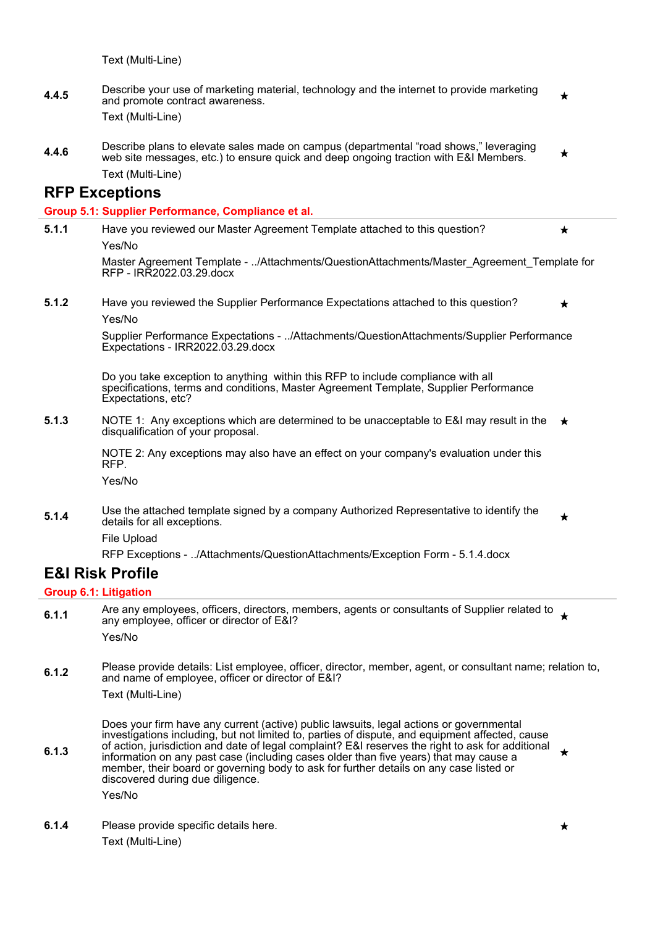Text (Multi-Line)

- **4.4.5** Describe your use of marketing material, technology and the internet to provide marketing ╈ and promote contract awareness. Text (Multi-Line)
- **4.4.6** Describe plans to elevate sales made on campus (departmental "road shows," leveraging web site messages, etc.) to ensure quick and deep ongoing traction with E&I Members. Text (Multi-Line)

#### **RFP Exceptions**

#### **Group 5.1: Supplier Performance, Compliance et al.**

**5.1.1** Have you reviewed our Master Agreement Template attached to this question? ┻ Yes/No

Master Agreement Template - ../Attachments/QuestionAttachments/Master\_Agreement\_Template for RFP - IRR2022.03.29.docx

**5.1.2** Have you reviewed the Supplier Performance Expectations attached to this question? ★ Yes/No

> Supplier Performance Expectations - ../Attachments/QuestionAttachments/Supplier Performance Expectations - IRR2022.03.29.docx

Do you take exception to anything within this RFP to include compliance with all specifications, terms and conditions, Master Agreement Template, Supplier Performance Expectations, etc?

**5.1.3** NOTE 1: Any exceptions which are determined to be unacceptable to E&I may result in the disqualification of your proposal.

> NOTE 2: Any exceptions may also have an effect on your company's evaluation under this RFP.

Yes/No

File Upload

**5.1.4** Use the attached template signed by a company Authorized Representative to identify the ┶ details for all exceptions.

RFP Exceptions - ../Attachments/QuestionAttachments/Exception Form - 5.1.4.docx **E&I Risk Profile**

#### **Group 6.1: Litigation**

- **6.1.1** Are any employees, officers, directors, members, agents or consultants of Supplier related to  $\triangle$ any employee, officer or director of E&I? Yes/No
- **6.1.2** Please provide details: List employee, officer, director, member, agent, or consultant name; relation to, and name of employee, officer or director of E&I? Text (Multi-Line)

**6.1.3** Does your firm have any current (active) public lawsuits, legal actions or governmental investigations including, but not limited to, parties of dispute, and equipment affected, cause of action, jurisdiction and date of legal complaint? E&I reserves the right to ask for additional information on any past case (including cases older than five years) that may cause a member, their board or governing body to ask for further details on any case listed or discovered during due diligence.

Yes/No

**6.1.4** Please provide specific details here. Text (Multi-Line)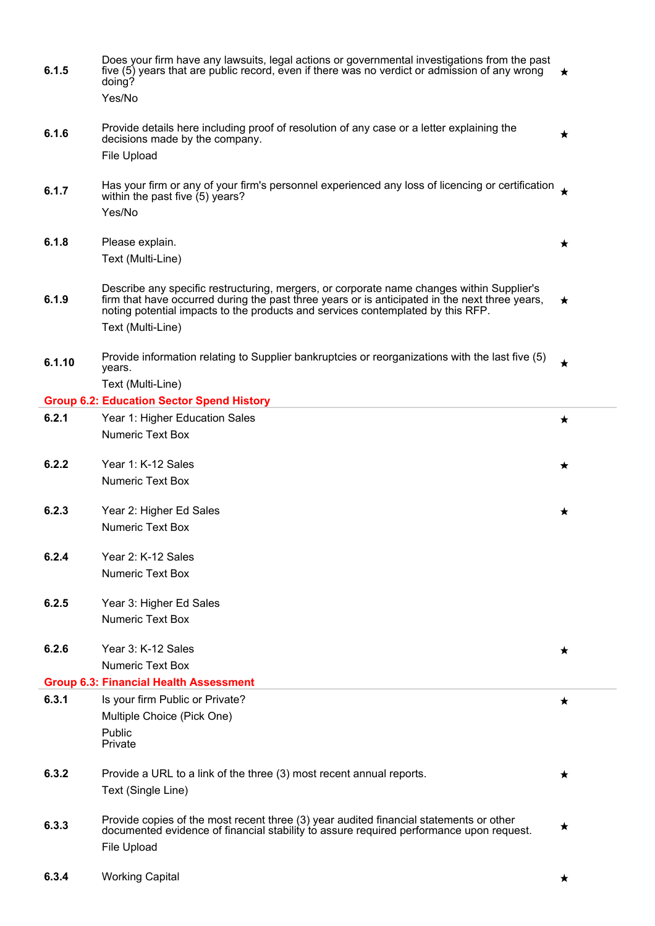| 6.1.5  | Does your firm have any lawsuits, legal actions or governmental investigations from the past<br>five (5) years that are public record, even if there was no verdict or admission of any wrong<br>doing?<br>Yes/No                                                              | ★          |
|--------|--------------------------------------------------------------------------------------------------------------------------------------------------------------------------------------------------------------------------------------------------------------------------------|------------|
| 6.1.6  | Provide details here including proof of resolution of any case or a letter explaining the<br>decisions made by the company.<br>File Upload                                                                                                                                     | ★          |
|        |                                                                                                                                                                                                                                                                                |            |
| 6.1.7  | Has your firm or any of your firm's personnel experienced any loss of licencing or certification<br>within the past five (5) years?<br>Yes/No                                                                                                                                  |            |
|        |                                                                                                                                                                                                                                                                                |            |
| 6.1.8  | Please explain.                                                                                                                                                                                                                                                                | $\bigstar$ |
|        | Text (Multi-Line)                                                                                                                                                                                                                                                              |            |
| 6.1.9  | Describe any specific restructuring, mergers, or corporate name changes within Supplier's<br>firm that have occurred during the past three years or is anticipated in the next three years,<br>noting potential impacts to the products and services contemplated by this RFP. | $\star$    |
|        | Text (Multi-Line)                                                                                                                                                                                                                                                              |            |
| 6.1.10 | Provide information relating to Supplier bankruptcies or reorganizations with the last five (5)<br>years.                                                                                                                                                                      | $\bigstar$ |
|        | Text (Multi-Line)                                                                                                                                                                                                                                                              |            |
|        | <b>Group 6.2: Education Sector Spend History</b>                                                                                                                                                                                                                               |            |
| 6.2.1  | Year 1: Higher Education Sales<br><b>Numeric Text Box</b>                                                                                                                                                                                                                      | ★          |
|        |                                                                                                                                                                                                                                                                                |            |
| 6.2.2  | Year 1: K-12 Sales                                                                                                                                                                                                                                                             | ★          |
|        | <b>Numeric Text Box</b>                                                                                                                                                                                                                                                        |            |
| 6.2.3  | Year 2: Higher Ed Sales                                                                                                                                                                                                                                                        | ★          |
|        | <b>Numeric Text Box</b>                                                                                                                                                                                                                                                        |            |
|        | Year 2: K-12 Sales                                                                                                                                                                                                                                                             |            |
| 6.2.4  | <b>Numeric Text Box</b>                                                                                                                                                                                                                                                        |            |
|        |                                                                                                                                                                                                                                                                                |            |
| 6.2.5  | Year 3: Higher Ed Sales                                                                                                                                                                                                                                                        |            |
|        | <b>Numeric Text Box</b>                                                                                                                                                                                                                                                        |            |
| 6.2.6  | Year 3: K-12 Sales                                                                                                                                                                                                                                                             | $\star$    |
|        | <b>Numeric Text Box</b>                                                                                                                                                                                                                                                        |            |
|        | <b>Group 6.3: Financial Health Assessment</b>                                                                                                                                                                                                                                  |            |
| 6.3.1  | Is your firm Public or Private?                                                                                                                                                                                                                                                | ★          |
|        | Multiple Choice (Pick One)                                                                                                                                                                                                                                                     |            |
|        | Public<br>Private                                                                                                                                                                                                                                                              |            |
| 6.3.2  | Provide a URL to a link of the three (3) most recent annual reports.                                                                                                                                                                                                           |            |
|        | Text (Single Line)                                                                                                                                                                                                                                                             | ★          |
|        |                                                                                                                                                                                                                                                                                |            |
| 6.3.3  | Provide copies of the most recent three (3) year audited financial statements or other<br>documented evidence of financial stability to assure required performance upon request.                                                                                              | ★          |
|        | <b>File Upload</b>                                                                                                                                                                                                                                                             |            |
|        |                                                                                                                                                                                                                                                                                |            |
| 6.3.4  | <b>Working Capital</b>                                                                                                                                                                                                                                                         | $\star$    |